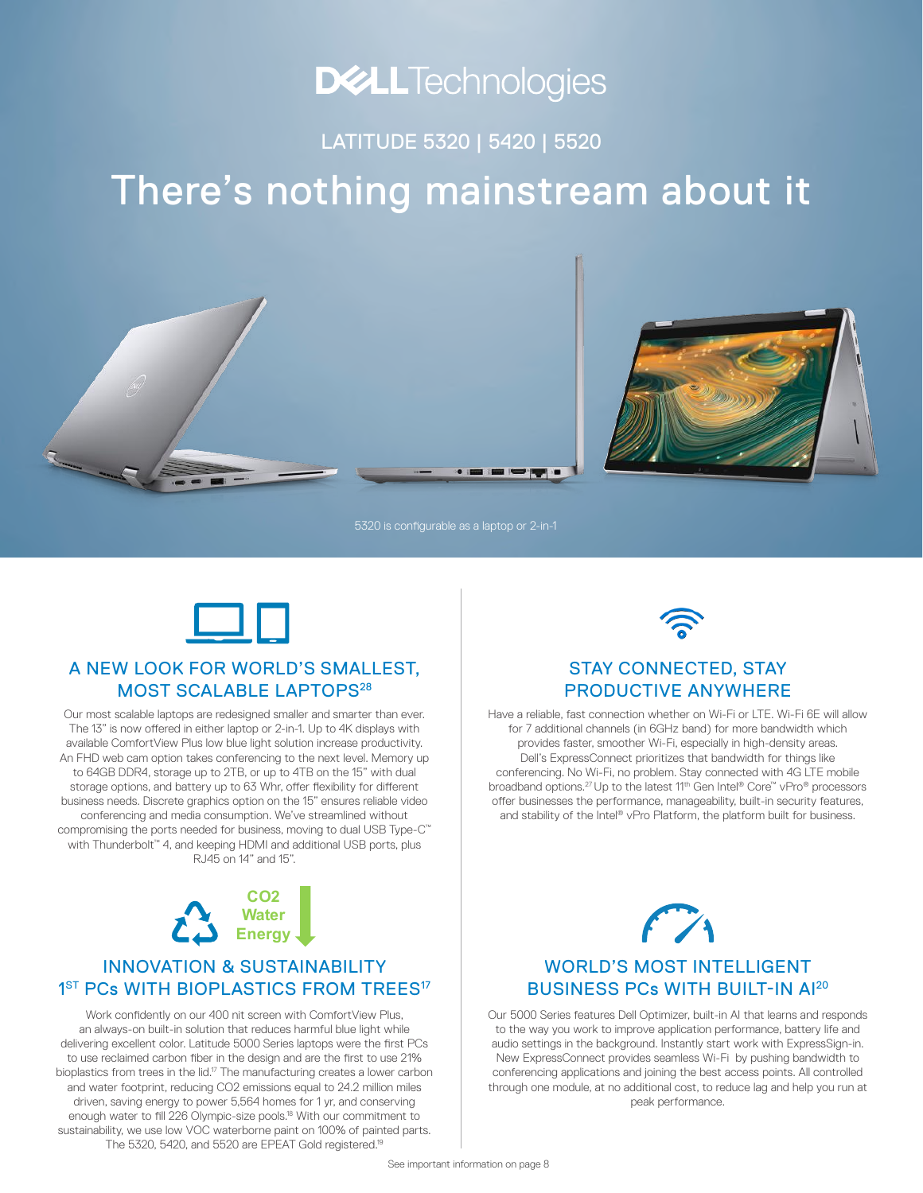# **DELLTechnologies**

LATITUDE 5320 | 5420 | 5520

# There's nothing mainstream about it



5320 is configurable as a laptop or 2-in-1



### A NEW LOOK FOR WORLD'S SMALLEST, MOST SCALABLE LAPTOPS<sup>28</sup>

Our most scalable laptops are redesigned smaller and smarter than ever. The 13" is now offered in either laptop or 2-in-1. Up to 4K displays with available ComfortView Plus low blue light solution increase productivity. An FHD web cam option takes conferencing to the next level. Memory up to 64GB DDR4, storage up to 2TB, or up to 4TB on the 15" with dual storage options, and battery up to 63 Whr, offer flexibility for different business needs. Discrete graphics option on the 15" ensures reliable video conferencing and media consumption. We've streamlined without compromising the ports needed for business, moving to dual USB Type-C<sup>™</sup> with Thunderbolt™ 4, and keeping HDMI and additional USB ports, plus RJ45 on 14" and 15".



### INNOVATION & SUSTAINABILITY 1<sup>ST</sup> PCs WITH BIOPLASTICS FROM TREES<sup>17</sup>

Work confidently on our 400 nit screen with ComfortView Plus, an always-on built-in solution that reduces harmful blue light while delivering excellent color. Latitude 5000 Series laptops were the first PCs to use reclaimed carbon fiber in the design and are the first to use 21% bioplastics from trees in the lid.17 The manufacturing creates a lower carbon and water footprint, reducing CO2 emissions equal to 24.2 million miles driven, saving energy to power 5,564 homes for 1 yr, and conserving enough water to fill 226 Olympic-size pools.18 With our commitment to sustainability, we use low VOC waterborne paint on 100% of painted parts. The 5320, 5420, and 5520 are EPEAT Gold registered.19



### STAY CONNECTED, STAY PRODUCTIVE ANYWHERE

Have a reliable, fast connection whether on Wi-Fi or LTE. Wi-Fi 6E will allow for 7 additional channels (in 6GHz band) for more bandwidth which provides faster, smoother Wi-Fi, especially in high-density areas. Dell's ExpressConnect prioritizes that bandwidth for things like conferencing. No Wi-Fi, no problem. Stay connected with 4G LTE mobile broadband options.27 Up to the latest 11th Gen Intel® Core™ vPro® processors offer businesses the performance, manageability, built-in security features, and stability of the Intel® vPro Platform, the platform built for business.



### WORLD'S MOST INTELLIGENT BUSINESS PCs WITH BUILT-IN AI20

Our 5000 Series features Dell Optimizer, built-in AI that learns and responds to the way you work to improve application performance, battery life and audio settings in the background. Instantly start work with ExpressSign-in. New ExpressConnect provides seamless Wi-Fi by pushing bandwidth to conferencing applications and joining the best access points. All controlled through one module, at no additional cost, to reduce lag and help you run at peak performance.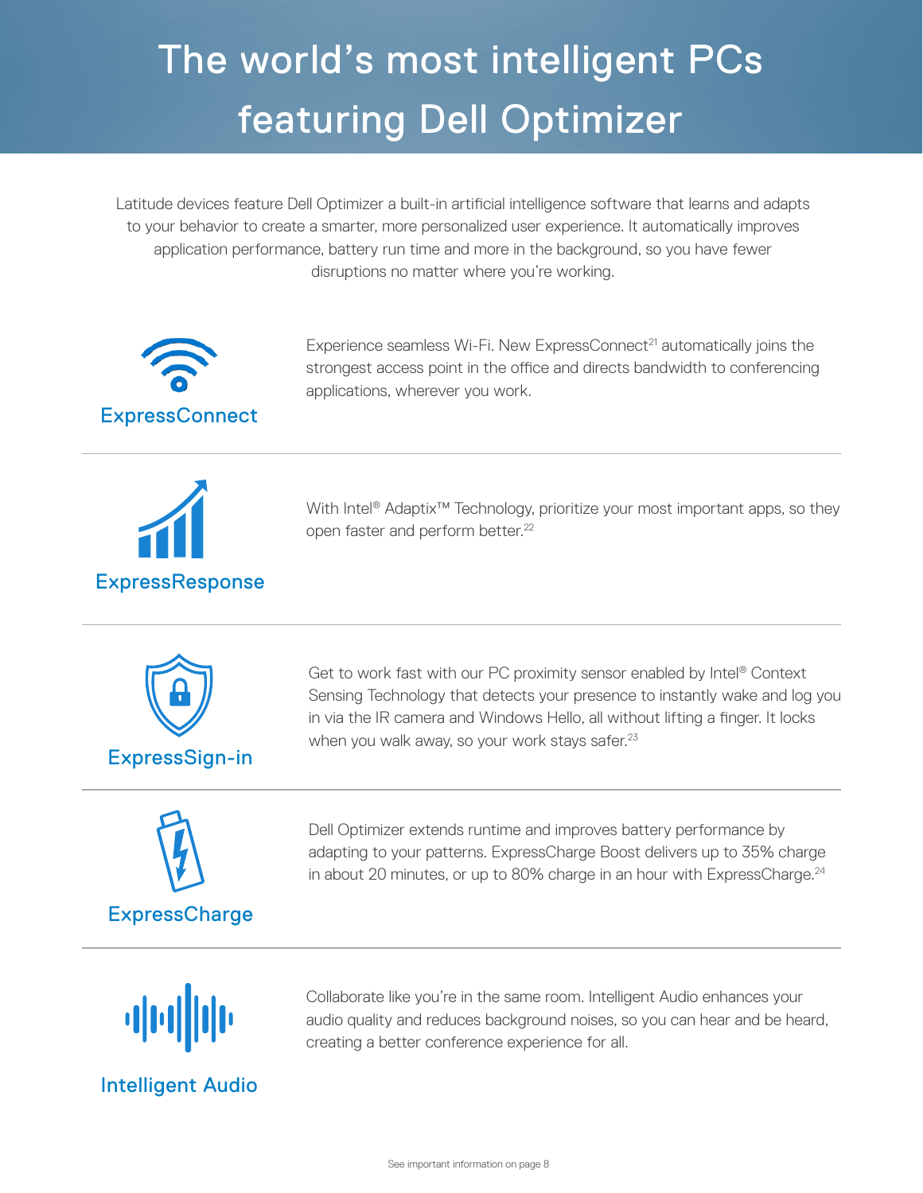# The world's most intelligent PCs featuring Dell Optimizer

Latitude devices feature Dell Optimizer a built-in artificial intelligence software that learns and adapts to your behavior to create a smarter, more personalized user experience. It automatically improves application performance, battery run time and more in the background, so you have fewer disruptions no matter where you're working.



Experience seamless Wi-Fi. New ExpressConnect<sup>21</sup> automatically joins the strongest access point in the office and directs bandwidth to conferencing applications, wherever you work.



With Intel<sup>®</sup> Adaptix<sup>™</sup> Technology, prioritize your most important apps, so they open faster and perform better.<sup>22</sup>



Sensing Technology that detects your presence to instantly wake and log you in via the IR camera and Windows Hello, all without lifting a finger. It locks when you walk away, so your work stays safer.<sup>23</sup>

Get to work fast with our PC proximity sensor enabled by Intel® Context



Dell Optimizer extends runtime and improves battery performance by adapting to your patterns. ExpressCharge Boost delivers up to 35% charge in about 20 minutes, or up to 80% charge in an hour with ExpressCharge.<sup>24</sup>



Intelligent Audio

Collaborate like you're in the same room. Intelligent Audio enhances your audio quality and reduces background noises, so you can hear and be heard, creating a better conference experience for all.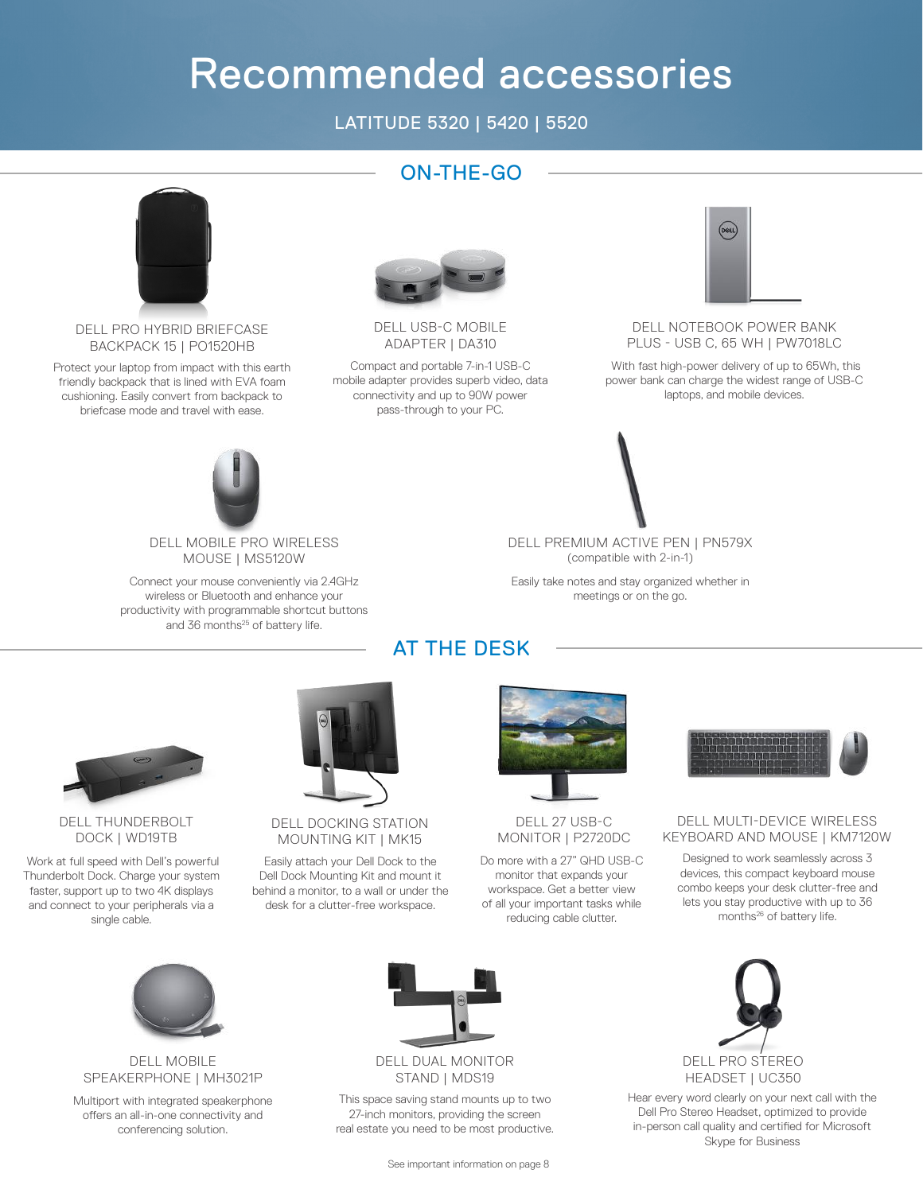# Recommended accessories

### LATITUDE 5320 | 5420 | 5520

ON-THE-GO



DELL PRO HYBRID BRIEFCASE BACKPACK 15 | PO1520HB

Protect your laptop from impact with this earth friendly backpack that is lined with EVA foam cushioning. Easily convert from backpack to briefcase mode and travel with ease.



DELL USB-C MOBILE ADAPTER | DA310

Compact and portable 7-in-1 USB-C mobile adapter provides superb video, data connectivity and up to 90W power pass-through to your PC.



DELL NOTEBOOK POWER BANK PLUS - USB C, 65 WH | PW7018LC

 With fast high-power delivery of up to 65Wh, this power bank can charge the widest range of USB-C laptops, and mobile devices.



DELL MOBILE PRO WIRELESS MOUSE | MS5120W

Connect your mouse conveniently via 2.4GHz wireless or Bluetooth and enhance your productivity with programmable shortcut buttons and 36 months<sup>25</sup> of battery life.

DELL PREMIUM ACTIVE PEN | PN579X (compatible with 2-in-1)

Easily take notes and stay organized whether in meetings or on the go.

### AT THE DESK



### DELL THUNDERBOLT DOCK | WD19TB

 Work at full speed with Dell's powerful Thunderbolt Dock. Charge your system faster, support up to two 4K displays and connect to your peripherals via a single cable.



### DELL DOCKING STATION MOUNTING KIT | MK15

Easily attach your Dell Dock to the Dell Dock Mounting Kit and mount it behind a monitor, to a wall or under the desk for a clutter-free workspace.



### DELL 27 USB-C MONITOR | P2720DC

Do more with a 27" QHD USB-C monitor that expands your workspace. Get a better view of all your important tasks while reducing cable clutter.



### DELL MULTI-DEVICE WIRELESS KEYBOARD AND MOUSE | KM7120W

Designed to work seamlessly across 3 devices, this compact keyboard mouse combo keeps your desk clutter-free and lets you stay productive with up to 36 months<sup>26</sup> of battery life.



#### DELL MOBILE SPEAKERPHONE | MH3021P

Multiport with integrated speakerphone offers an all-in-one connectivity and conferencing solution.



### DELL DUAL MONITOR STAND | MDS19

This space saving stand mounts up to two 27-inch monitors, providing the screen real estate you need to be most productive.



Hear every word clearly on your next call with the Dell Pro Stereo Headset, optimized to provide in-person call quality and certified for Microsoft Skype for Business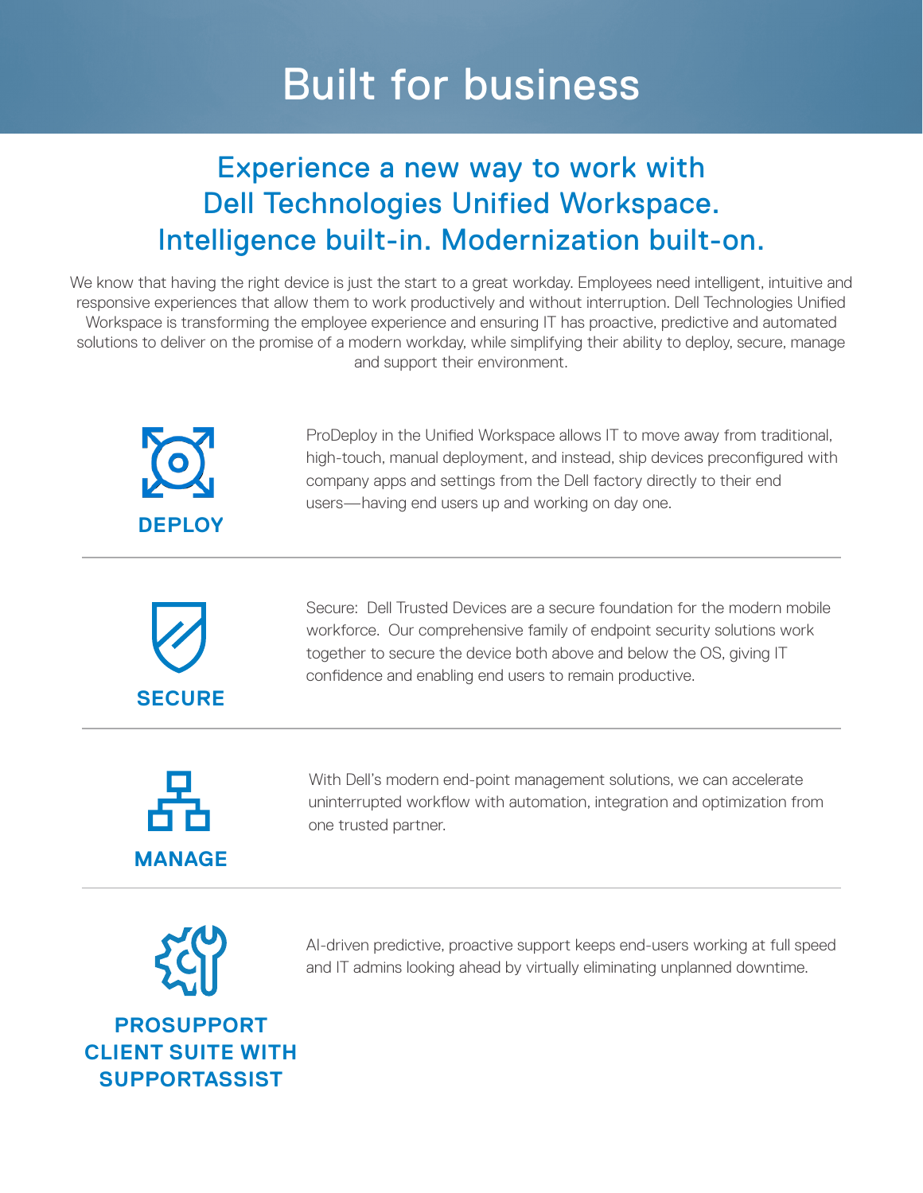# Built for business

## Experience a new way to work with Dell Technologies Unified Workspace. Intelligence built-in. Modernization built-on.

We know that having the right device is just the start to a great workday. Employees need intelligent, intuitive and responsive experiences that allow them to work productively and without interruption. Dell Technologies Unified Workspace is transforming the employee experience and ensuring IT has proactive, predictive and automated solutions to deliver on the promise of a modern workday, while simplifying their ability to deploy, secure, manage and support their environment.



ProDeploy in the Unified Workspace allows IT to move away from traditional, high-touch, manual deployment, and instead, ship devices preconfigured with company apps and settings from the Dell factory directly to their end users—having end users up and working on day one.



Secure: Dell Trusted Devices are a secure foundation for the modern mobile workforce. Our comprehensive family of endpoint security solutions work together to secure the device both above and below the OS, giving IT confidence and enabling end users to remain productive.



With Dell's modern end-point management solutions, we can accelerate uninterrupted workflow with automation, integration and optimization from one trusted partner.



AI-driven predictive, proactive support keeps end-users working at full speed and IT admins looking ahead by virtually eliminating unplanned downtime.

**PROSUPPORT CLIENT SUITE WITH SUPPORTASSIST**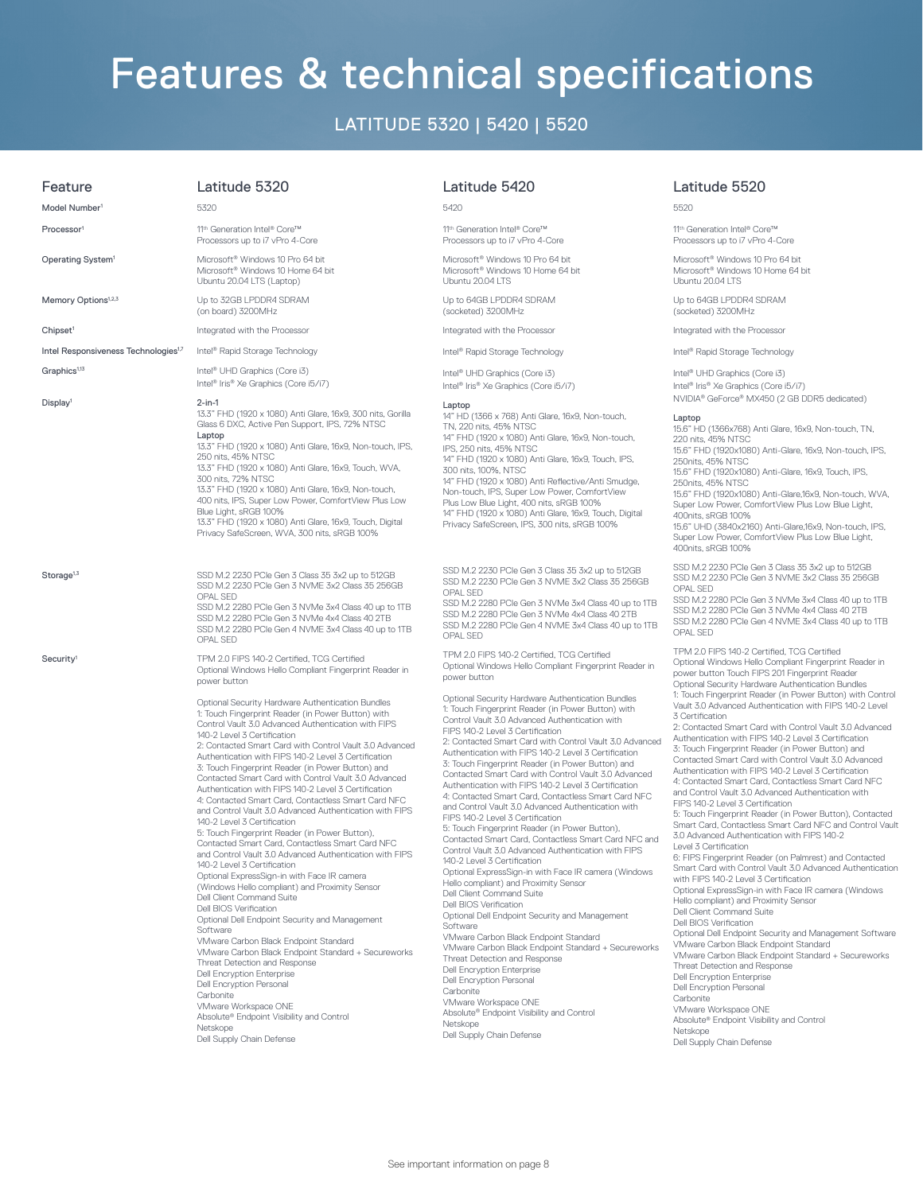# Features & technical specifications

### LATITUDE 5320 | 5420 | 5520

| Feature                                          | Latitude 5320                                                                                                                                                                                                                                                                                                                                                                                                                                                                                                                                                                                                                                                                                                                                                                                                                                                                                                                                                                                                                                                                                                                                                                                                                                                                                                                                                                             | Lat                                                                                                                                                                                                                                                                                                              |
|--------------------------------------------------|-------------------------------------------------------------------------------------------------------------------------------------------------------------------------------------------------------------------------------------------------------------------------------------------------------------------------------------------------------------------------------------------------------------------------------------------------------------------------------------------------------------------------------------------------------------------------------------------------------------------------------------------------------------------------------------------------------------------------------------------------------------------------------------------------------------------------------------------------------------------------------------------------------------------------------------------------------------------------------------------------------------------------------------------------------------------------------------------------------------------------------------------------------------------------------------------------------------------------------------------------------------------------------------------------------------------------------------------------------------------------------------------|------------------------------------------------------------------------------------------------------------------------------------------------------------------------------------------------------------------------------------------------------------------------------------------------------------------|
| Model Number <sup>1</sup>                        | 5320                                                                                                                                                                                                                                                                                                                                                                                                                                                                                                                                                                                                                                                                                                                                                                                                                                                                                                                                                                                                                                                                                                                                                                                                                                                                                                                                                                                      | 5420                                                                                                                                                                                                                                                                                                             |
| Processor <sup>1</sup>                           | 11 <sup>th</sup> Generation Intel® Core™<br>Processors up to i7 vPro 4-Core                                                                                                                                                                                                                                                                                                                                                                                                                                                                                                                                                                                                                                                                                                                                                                                                                                                                                                                                                                                                                                                                                                                                                                                                                                                                                                               | 11 <sup>th</sup> G<br>Proce                                                                                                                                                                                                                                                                                      |
| Operating System <sup>1</sup>                    | Microsoft <sup>®</sup> Windows 10 Pro 64 bit<br>Microsoft <sup>®</sup> Windows 10 Home 64 bit<br>Ubuntu 20.04 LTS (Laptop)                                                                                                                                                                                                                                                                                                                                                                                                                                                                                                                                                                                                                                                                                                                                                                                                                                                                                                                                                                                                                                                                                                                                                                                                                                                                | Micro<br>Micro<br>Ubun                                                                                                                                                                                                                                                                                           |
| Memory Options <sup>1,2,3</sup>                  | Up to 32GB LPDDR4 SDRAM<br>(on board) 3200MHz                                                                                                                                                                                                                                                                                                                                                                                                                                                                                                                                                                                                                                                                                                                                                                                                                                                                                                                                                                                                                                                                                                                                                                                                                                                                                                                                             | Up to<br>(sock                                                                                                                                                                                                                                                                                                   |
| Chipset <sup>1</sup>                             | Integrated with the Processor                                                                                                                                                                                                                                                                                                                                                                                                                                                                                                                                                                                                                                                                                                                                                                                                                                                                                                                                                                                                                                                                                                                                                                                                                                                                                                                                                             | Integ                                                                                                                                                                                                                                                                                                            |
| Intel Responsiveness Technologies <sup>1,7</sup> | Intel <sup>®</sup> Rapid Storage Technology                                                                                                                                                                                                                                                                                                                                                                                                                                                                                                                                                                                                                                                                                                                                                                                                                                                                                                                                                                                                                                                                                                                                                                                                                                                                                                                                               | $\mathsf{Intel}^{\mathsf{g}}$                                                                                                                                                                                                                                                                                    |
| Graphics <sup>1,13</sup>                         | Intel <sup>®</sup> UHD Graphics (Core i3)<br>Intel <sup>®</sup> Iris® Xe Graphics (Core i5/i7)                                                                                                                                                                                                                                                                                                                                                                                                                                                                                                                                                                                                                                                                                                                                                                                                                                                                                                                                                                                                                                                                                                                                                                                                                                                                                            | $\mathsf{Intel}^{\mathsf{g}}$<br>Intel <sup>®</sup>                                                                                                                                                                                                                                                              |
| Display <sup>1</sup>                             | $2$ -in-1<br>13.3" FHD (1920 x 1080) Anti Glare, 16x9, 300 nits, Gorilla<br>Glass 6 DXC, Active Pen Support, IPS, 72% NTSC<br>Laptop<br>13.3" FHD (1920 x 1080) Anti Glare, 16x9, Non-touch, IPS,<br>250 nits, 45% NTSC<br>13.3" FHD (1920 x 1080) Anti Glare, 16x9, Touch, WVA,<br>300 nits, 72% NTSC<br>13.3" FHD (1920 x 1080) Anti Glare, 16x9, Non-touch,<br>400 nits, IPS, Super Low Power, ComfortView Plus Low<br>Blue Light, sRGB 100%<br>13.3" FHD (1920 x 1080) Anti Glare, 16x9, Touch, Digital<br>Privacy SafeScreen, WVA, 300 nits, sRGB 100%                                                                                                                                                                                                                                                                                                                                                                                                                                                                                                                                                                                                                                                                                                                                                                                                                               | Lapto<br>14" H<br>TN, 2<br>14" F<br>IPS, 2<br>14" F<br>300 r<br>14" F<br>Non-<br>Plus I<br>14" F<br>Priva                                                                                                                                                                                                        |
| Storage <sup>1,3</sup>                           | SSD M.2 2230 PCIe Gen 3 Class 35 3x2 up to 512GB<br>SSD M.2 2230 PCIe Gen 3 NVME 3x2 Class 35 256GB<br>OPAL SED<br>SSD M.2 2280 PCle Gen 3 NVMe 3x4 Class 40 up to 1TB<br>SSD M.2 2280 PCIe Gen 3 NVMe 4x4 Class 40 2TB<br>SSD M.2 2280 PCIe Gen 4 NVME 3x4 Class 40 up to 1TB<br>OPAL SED                                                                                                                                                                                                                                                                                                                                                                                                                                                                                                                                                                                                                                                                                                                                                                                                                                                                                                                                                                                                                                                                                                | <b>SSD</b><br><b>SSD</b><br>OPAL<br><b>SSD</b><br><b>SSD</b><br><b>SSD</b><br>OPAL                                                                                                                                                                                                                               |
| ${\sf Security}^1$                               | TPM 2.0 FIPS 140-2 Certified, TCG Certified<br>Optional Windows Hello Compliant Fingerprint Reader in<br>power button                                                                                                                                                                                                                                                                                                                                                                                                                                                                                                                                                                                                                                                                                                                                                                                                                                                                                                                                                                                                                                                                                                                                                                                                                                                                     | <b>TPM</b><br>Optic<br>powe                                                                                                                                                                                                                                                                                      |
|                                                  | Optional Security Hardware Authentication Bundles<br>1: Touch Fingerprint Reader (in Power Button) with<br>Control Vault 3.0 Advanced Authentication with FIPS<br>140-2 Level 3 Certification<br>2: Contacted Smart Card with Control Vault 3.0 Advanced<br>Authentication with FIPS 140-2 Level 3 Certification<br>3: Touch Fingerprint Reader (in Power Button) and<br>Contacted Smart Card with Control Vault 3.0 Advanced<br>Authentication with FIPS 140-2 Level 3 Certification<br>4: Contacted Smart Card, Contactless Smart Card NFC<br>and Control Vault 3.0 Advanced Authentication with FIPS<br>140-2 Level 3 Certification<br>5: Touch Fingerprint Reader (in Power Button),<br>Contacted Smart Card, Contactless Smart Card NFC<br>and Control Vault 3.0 Advanced Authentication with FIPS<br>140-2 Level 3 Certification<br>Optional ExpressSign-in with Face IR camera<br>(Windows Hello compliant) and Proximity Sensor<br>Dell Client Command Suite<br>Dell BIOS Verification<br>Optional Dell Endpoint Security and Management<br>Software<br>VMware Carbon Black Endpoint Standard<br>VMware Carbon Black Endpoint Standard + Secureworks<br>Threat Detection and Response<br><b>Dell Encryption Enterprise</b><br>Dell Encryption Personal<br>Carbonite<br>VMware Workspace ONE<br>Absolute® Endpoint Visibility and Control<br>Netskope<br>Dell Supply Chain Defense | Optic<br>$1:$ Tou<br>Cont<br><b>FIPS</b><br>2:Co<br><b>Auth</b><br>3: Tou<br>Cont<br>Authe<br>4: Co<br>and C<br><b>FIPS</b><br>5: Tor<br>Cont<br>Conti<br>$140 - 2$<br>Optic<br>Hello<br>Dell C<br>Dell E<br>Optic<br>Softy<br>VMw<br>VMw<br>Threa<br>Dell E<br>Dell E<br>Carb<br>VMw<br>Abso<br>Netsl<br>Dell S |

#### Latitude 5420

1 Generation Intel® Core™ processors up to i7 vPro 4-Core

crosoft<sup>®</sup> Windows 10 Pro 64 bit crosoft® Windows 10 Home 64 bit untu 20.04 LTS

Up to 64GB LPDDR4 SDRAM (socketed) 3200MHz

egrated with the Processor

el® Rapid Storage Technology

el<sup>®</sup> UHD Graphics (Core i3) el® Iris® Xe Graphics (Core i5/i7)

#### Laptop

14" HD (1366 x 768) Anti Glare, 16x9, Non-touch, . 220 nits, 45% NTSC 14" FHD (1920 x 1080) Anti Glare, 16x9, Non-touch, 1250 nits, 45% NTSC FHD (1920 x 1080) Anti Glare, 16x9, Touch, IPS, 300 nits, 100%, NTSC FHD (1920 x 1080) Anti Reflective/Anti Smudge, n-touch, IPS, Super Low Power, ComfortView Is Low Blue Light, 400 nits, sRGB 100% FHD (1920 x 1080) Anti Glare, 16x9, Touch, Digital vacy SafeScreen, IPS, 300 nits, sRGB 100%

D. M. 2 2230 PCIe Gen 3 Class 35 3x2 up to 512GB D M.2 2230 PCIe Gen 3 NVME 3x2 Class 35 256GB OPAL SED

D M.2 2280 PCIe Gen 3 NVMe 3x4 Class 40 up to 1TB D M.2 2280 PCIe Gen 3 NVMe 4x4 Class 40 2TB SSD M.2 2280 PCIe Gen 4 NVME 3x4 Class 40 up to 1TB OPAL SED

M 2.0 FIPS 140-2 Certified, TCG Certified tional Windows Hello Compliant Fingerprint Reader in power button

tional Security Hardware Authentication Bundles **Touch Fingerprint Reader (in Power Button) with** Control Vault 3.0 Advanced Authentication with <sup>2</sup>S 140-2 Level 3 Certification 2: Contacted Smart Card with Control Vault 3.0 Advanced Authentication with FIPS 140-2 Level 3 Certification Touch Fingerprint Reader (in Power Button) and ntacted Smart Card with Control Vault 3.0 Advanced thentication with FIPS 140-2 Level 3 Certification 4: Contacted Smart Card, Contactless Smart Card NFC d Control Vault 3.0 Advanced Authentication with <sup>2</sup>S 140-2 Level 3 Certification 5: Touch Fingerprint Reader (in Power Button), ntacted Smart Card, Contactless Smart Card NFC and ntrol Vault 3.0 Advanced Authentication with FIPS -2 Level 3 Certification tional ExpressSign-in with Face IR camera (Windows Hello compliant) and Proximity Sensor Il Client Command Suite Il BIOS Verification tional Dell Endpoint Security and Management ftware **Iware Carbon Black Endpoint Standard** Vware Carbon Black Endpoint Standard + Secureworks reat Detection and Response I Encryption Enterprise Il Encryption Personal rbonite **Iware Workspace ONE** solute® Endpoint Visibility and Control tskope Il Supply Chain Defense

#### Latitude 5520

#### 5520

11<sup>th</sup> Generation Intel® Core™ Processors up to i7 vPro 4-Core

Microsoft® Windows 10 Pro 64 bit Microsoft® Windows 10 Home 64 bit Ubuntu 20.04 LTS

Up to 64GB LPDDR4 SDRAM (socketed) 3200MHz

Integrated with the Processor

Intel® Rapid Storage Technology

Intel® UHD Graphics (Core i3) Intel® Iris® Xe Graphics (Core i5/i7) NVIDIA® GeForce® MX450 (2 GB DDR5 dedicated)

#### Laptop

15.6" HD (1366x768) Anti Glare, 16x9, Non-touch, TN, 220 nits, 45% NTSC 15.6" FHD (1920x1080) Anti-Glare, 16x9, Non-touch, IPS, 250nits, 45% NTSC 15.6" FHD (1920x1080) Anti-Glare, 16x9, Touch, IPS,

250nits, 45% NTSC 15.6" FHD (1920x1080) Anti-Glare,16x9, Non-touch, WVA,

Super Low Power, ComfortView Plus Low Blue Light, 400nits, sRGB 100%

15.6" UHD (3840x2160) Anti-Glare,16x9, Non-touch, IPS, Super Low Power, ComfortView Plus Low Blue Light, 400nits, sRGB 100%

SSD M.2 2230 PCIe Gen 3 Class 35 3x2 up to 512GB SSD M.2 2230 PCIe Gen 3 NVME 3x2 Class 35 256GB OPAL SED

SSD M.2 2280 PCIe Gen 3 NVMe 3x4 Class 40 up to 1TB SSD M.2 2280 PCIe Gen 3 NVMe 4x4 Class 40 2TB SSD M.2 2280 PCIe Gen 4 NVME 3x4 Class 40 up to 1TB OPAL SED

TPM 2.0 FIPS 140-2 Certified, TCG Certified Optional Windows Hello Compliant Fingerprint Reader in power button Touch FIPS 201 Fingerprint Reader Optional Security Hardware Authentication Bundles 1: Touch Fingerprint Reader (in Power Button) with Control Vault 3.0 Advanced Authentication with FIPS 140-2 Level 3 Certification

2: Contacted Smart Card with Control Vault 3.0 Advanced Authentication with FIPS 140-2 Level 3 Certification 3: Touch Fingerprint Reader (in Power Button) and Contacted Smart Card with Control Vault 3.0 Advanced Authentication with FIPS 140-2 Level 3 Certification 4: Contacted Smart Card, Contactless Smart Card NFC and Control Vault 3.0 Advanced Authentication with FIPS 140-2 Level 3 Certification

5: Touch Fingerprint Reader (in Power Button), Contacted Smart Card, Contactless Smart Card NFC and Control Vault 3.0 Advanced Authentication with FIPS 140-2 Level 3 Certification

6: FIPS Fingerprint Reader (on Palmrest) and Contacted Smart Card with Control Vault 3.0 Advanced Authentication with FIPS 140-2 Level 3 Certification

Optional ExpressSign-in with Face IR camera (Windows Hello compliant) and Proximity Sensor Dell Client Command Suite

Dell BIOS Verification

Optional Dell Endpoint Security and Management Software VMware Carbon Black Endpoint Standard VMware Carbon Black Endpoint Standard + Secureworks Threat Detection and Response Dell Encryption Enterprise Dell Encryption Personal **Carbonite** 

VMware Workspace ONE

Absolute® Endpoint Visibility and Control Netskope

Dell Supply Chain Defense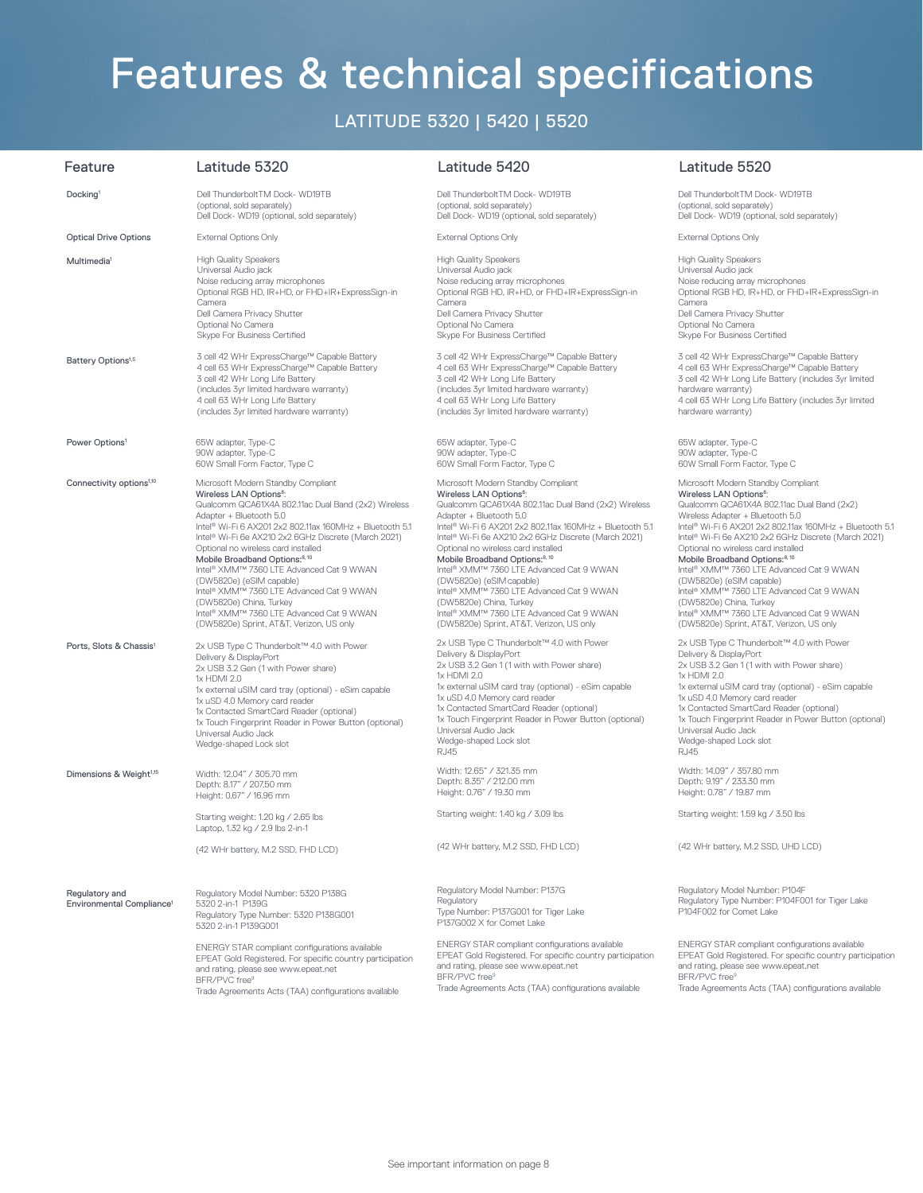# Features & technical specifications

## LATITUDE 5320 | 5420 | 5520

| Feature                                                 | Latitude 5320                                                                                                                                                                                                                                                                                                                                                              | Latitude 5420                                                                                                                                                                                                                                                                                                                                                                                    | Latitude 5520                                                                                                                                                                                                                                                                                                                                                                                    |
|---------------------------------------------------------|----------------------------------------------------------------------------------------------------------------------------------------------------------------------------------------------------------------------------------------------------------------------------------------------------------------------------------------------------------------------------|--------------------------------------------------------------------------------------------------------------------------------------------------------------------------------------------------------------------------------------------------------------------------------------------------------------------------------------------------------------------------------------------------|--------------------------------------------------------------------------------------------------------------------------------------------------------------------------------------------------------------------------------------------------------------------------------------------------------------------------------------------------------------------------------------------------|
| Docking <sup>1</sup>                                    | Dell ThunderboltTM Dock- WD19TB                                                                                                                                                                                                                                                                                                                                            | Dell ThunderboltTM Dock- WD19TB                                                                                                                                                                                                                                                                                                                                                                  | Dell ThunderboltTM Dock- WD19TB                                                                                                                                                                                                                                                                                                                                                                  |
|                                                         | (optional, sold separately)                                                                                                                                                                                                                                                                                                                                                | (optional, sold separately)                                                                                                                                                                                                                                                                                                                                                                      | (optional, sold separately)                                                                                                                                                                                                                                                                                                                                                                      |
|                                                         | Dell Dock- WD19 (optional, sold separately)                                                                                                                                                                                                                                                                                                                                | Dell Dock- WD19 (optional, sold separately)                                                                                                                                                                                                                                                                                                                                                      | Dell Dock- WD19 (optional, sold separately)                                                                                                                                                                                                                                                                                                                                                      |
| <b>Optical Drive Options</b>                            | <b>External Options Only</b>                                                                                                                                                                                                                                                                                                                                               | External Options Only                                                                                                                                                                                                                                                                                                                                                                            | <b>External Options Only</b>                                                                                                                                                                                                                                                                                                                                                                     |
| Multimedia <sup>1</sup>                                 | <b>High Quality Speakers</b>                                                                                                                                                                                                                                                                                                                                               | <b>High Quality Speakers</b>                                                                                                                                                                                                                                                                                                                                                                     | <b>High Quality Speakers</b>                                                                                                                                                                                                                                                                                                                                                                     |
|                                                         | Universal Audio jack                                                                                                                                                                                                                                                                                                                                                       | Universal Audio jack                                                                                                                                                                                                                                                                                                                                                                             | Universal Audio jack                                                                                                                                                                                                                                                                                                                                                                             |
|                                                         | Noise reducing array microphones                                                                                                                                                                                                                                                                                                                                           | Noise reducing array microphones                                                                                                                                                                                                                                                                                                                                                                 | Noise reducing array microphones                                                                                                                                                                                                                                                                                                                                                                 |
|                                                         | Optional RGB HD, IR+HD, or FHD+IR+ExpressSign-in                                                                                                                                                                                                                                                                                                                           | Optional RGB HD, IR+HD, or FHD+IR+ExpressSign-in                                                                                                                                                                                                                                                                                                                                                 | Optional RGB HD, IR+HD, or FHD+IR+ExpressSign-in                                                                                                                                                                                                                                                                                                                                                 |
|                                                         | Camera                                                                                                                                                                                                                                                                                                                                                                     | Camera                                                                                                                                                                                                                                                                                                                                                                                           | Camera                                                                                                                                                                                                                                                                                                                                                                                           |
|                                                         | Dell Camera Privacy Shutter                                                                                                                                                                                                                                                                                                                                                | Dell Camera Privacy Shutter                                                                                                                                                                                                                                                                                                                                                                      | Dell Camera Privacy Shutter                                                                                                                                                                                                                                                                                                                                                                      |
|                                                         | Optional No Camera                                                                                                                                                                                                                                                                                                                                                         | Optional No Camera                                                                                                                                                                                                                                                                                                                                                                               | Optional No Camera                                                                                                                                                                                                                                                                                                                                                                               |
|                                                         | Skype For Business Certified                                                                                                                                                                                                                                                                                                                                               | Skype For Business Certified                                                                                                                                                                                                                                                                                                                                                                     | Skype For Business Certified                                                                                                                                                                                                                                                                                                                                                                     |
| Battery Options <sup>1,5</sup>                          | 3 cell 42 WHr ExpressCharge™ Capable Battery                                                                                                                                                                                                                                                                                                                               | 3 cell 42 WHr ExpressCharge™ Capable Battery                                                                                                                                                                                                                                                                                                                                                     | 3 cell 42 WHr ExpressCharge™ Capable Battery                                                                                                                                                                                                                                                                                                                                                     |
|                                                         | 4 cell 63 WHr ExpressCharge™ Capable Battery                                                                                                                                                                                                                                                                                                                               | 4 cell 63 WHr ExpressCharge™ Capable Battery                                                                                                                                                                                                                                                                                                                                                     | 4 cell 63 WHr ExpressCharge™ Capable Battery                                                                                                                                                                                                                                                                                                                                                     |
|                                                         | 3 cell 42 WHr Long Life Battery                                                                                                                                                                                                                                                                                                                                            | 3 cell 42 WHr Long Life Battery                                                                                                                                                                                                                                                                                                                                                                  | 3 cell 42 WHr Long Life Battery (includes 3yr limited                                                                                                                                                                                                                                                                                                                                            |
|                                                         | (includes 3yr limited hardware warranty)                                                                                                                                                                                                                                                                                                                                   | (includes 3yr limited hardware warranty)                                                                                                                                                                                                                                                                                                                                                         | hardware warranty)                                                                                                                                                                                                                                                                                                                                                                               |
|                                                         | 4 cell 63 WHr Long Life Battery                                                                                                                                                                                                                                                                                                                                            | 4 cell 63 WHr Long Life Battery                                                                                                                                                                                                                                                                                                                                                                  | 4 cell 63 WHr Long Life Battery (includes 3yr limited                                                                                                                                                                                                                                                                                                                                            |
|                                                         | (includes 3yr limited hardware warranty)                                                                                                                                                                                                                                                                                                                                   | (includes 3yr limited hardware warranty)                                                                                                                                                                                                                                                                                                                                                         | hardware warranty)                                                                                                                                                                                                                                                                                                                                                                               |
| Power Options <sup>1</sup>                              | 65W adapter, Type-C                                                                                                                                                                                                                                                                                                                                                        | 65W adapter, Type-C                                                                                                                                                                                                                                                                                                                                                                              | 65W adapter, Type-C                                                                                                                                                                                                                                                                                                                                                                              |
|                                                         | 90W adapter, Type-C                                                                                                                                                                                                                                                                                                                                                        | 90W adapter, Type-C                                                                                                                                                                                                                                                                                                                                                                              | 90W adapter, Type-C                                                                                                                                                                                                                                                                                                                                                                              |
|                                                         | 60W Small Form Factor, Type C                                                                                                                                                                                                                                                                                                                                              | 60W Small Form Factor, Type C                                                                                                                                                                                                                                                                                                                                                                    | 60W Small Form Factor, Type C                                                                                                                                                                                                                                                                                                                                                                    |
| Connectivity options <sup>1,10</sup>                    | Microsoft Modern Standby Compliant                                                                                                                                                                                                                                                                                                                                         | Microsoft Modern Standby Compliant                                                                                                                                                                                                                                                                                                                                                               | Microsoft Modern Standby Compliant                                                                                                                                                                                                                                                                                                                                                               |
|                                                         | Wireless LAN Options <sup>8</sup> :                                                                                                                                                                                                                                                                                                                                        | Wireless LAN Options <sup>8</sup> :                                                                                                                                                                                                                                                                                                                                                              | Wireless LAN Options <sup>8</sup> :                                                                                                                                                                                                                                                                                                                                                              |
|                                                         | Qualcomm QCA61X4A 802.11ac Dual Band (2x2) Wireless                                                                                                                                                                                                                                                                                                                        | Qualcomm QCA61X4A 802.11ac Dual Band (2x2) Wireless                                                                                                                                                                                                                                                                                                                                              | Qualcomm QCA61X4A 802.11ac Dual Band (2x2)                                                                                                                                                                                                                                                                                                                                                       |
|                                                         | Adapter + Bluetooth 5.0                                                                                                                                                                                                                                                                                                                                                    | Adapter + Bluetooth 5.0                                                                                                                                                                                                                                                                                                                                                                          | Wireless Adapter + Bluetooth 5.0                                                                                                                                                                                                                                                                                                                                                                 |
|                                                         | Intel® Wi-Fi 6 AX201 2x2 802.11ax 160MHz + Bluetooth 5.1                                                                                                                                                                                                                                                                                                                   | Intel® Wi-Fi 6 AX201 2x2 802.11ax 160MHz + Bluetooth 5.1                                                                                                                                                                                                                                                                                                                                         | Intel® Wi-Fi 6 AX201 2x2 802.11ax 160MHz + Bluetooth 5.1                                                                                                                                                                                                                                                                                                                                         |
|                                                         | Intel® Wi-Fi 6e AX210 2x2 6GHz Discrete (March 2021)                                                                                                                                                                                                                                                                                                                       | Intel <sup>®</sup> Wi-Fi 6e AX210 2x2 6GHz Discrete (March 2021)                                                                                                                                                                                                                                                                                                                                 | Intel® Wi-Fi 6e AX210 2x2 6GHz Discrete (March 2021)                                                                                                                                                                                                                                                                                                                                             |
|                                                         | Optional no wireless card installed                                                                                                                                                                                                                                                                                                                                        | Optional no wireless card installed                                                                                                                                                                                                                                                                                                                                                              | Optional no wireless card installed                                                                                                                                                                                                                                                                                                                                                              |
|                                                         | Mobile Broadband Options: <sup>8, 10</sup>                                                                                                                                                                                                                                                                                                                                 | Mobile Broadband Options: <sup>8, 10</sup>                                                                                                                                                                                                                                                                                                                                                       | Mobile Broadband Options: <sup>8, 10</sup>                                                                                                                                                                                                                                                                                                                                                       |
|                                                         | Intel® XMM™ 7360 LTE Advanced Cat 9 WWAN                                                                                                                                                                                                                                                                                                                                   | Intel® XMM™ 7360 LTE Advanced Cat 9 WWAN                                                                                                                                                                                                                                                                                                                                                         | Intel® XMM™ 7360 LTE Advanced Cat 9 WWAN                                                                                                                                                                                                                                                                                                                                                         |
|                                                         | (DW5820e) (eSIM capable)                                                                                                                                                                                                                                                                                                                                                   | (DW5820e) (eSIM capable)                                                                                                                                                                                                                                                                                                                                                                         | (DW5820e) (eSIM capable)                                                                                                                                                                                                                                                                                                                                                                         |
|                                                         | Intel® XMM™ 7360 LTE Advanced Cat 9 WWAN                                                                                                                                                                                                                                                                                                                                   | Intel® XMM™ 7360 LTE Advanced Cat 9 WWAN                                                                                                                                                                                                                                                                                                                                                         | Intel® XMM™ 7360 LTE Advanced Cat 9 WWAN                                                                                                                                                                                                                                                                                                                                                         |
|                                                         | (DW5820e) China, Turkey                                                                                                                                                                                                                                                                                                                                                    | (DW5820e) China, Turkey                                                                                                                                                                                                                                                                                                                                                                          | (DW5820e) China, Turkey                                                                                                                                                                                                                                                                                                                                                                          |
|                                                         | Intel® XMM™ 7360 LTE Advanced Cat 9 WWAN                                                                                                                                                                                                                                                                                                                                   | Intel® XMM™ 7360 LTE Advanced Cat 9 WWAN                                                                                                                                                                                                                                                                                                                                                         | Intel® XMM™ 7360 LTE Advanced Cat 9 WWAN                                                                                                                                                                                                                                                                                                                                                         |
|                                                         | (DW5820e) Sprint, AT&T, Verizon, US only                                                                                                                                                                                                                                                                                                                                   | (DW5820e) Sprint, AT&T, Verizon, US only                                                                                                                                                                                                                                                                                                                                                         | (DW5820e) Sprint, AT&T, Verizon, US only                                                                                                                                                                                                                                                                                                                                                         |
| Ports, Slots & Chassis <sup>1</sup>                     | 2x USB Type C Thunderbolt™ 4.0 with Power<br>Delivery & DisplayPort<br>2x USB 3.2 Gen (1 with Power share)<br>1x HDMI 2.0<br>1x external uSIM card tray (optional) - eSim capable<br>1x uSD 4.0 Memory card reader<br>1x Contacted SmartCard Reader (optional)<br>1x Touch Fingerprint Reader in Power Button (optional)<br>Universal Audio Jack<br>Wedge-shaped Lock slot | 2x USB Type C Thunderbolt™ 4.0 with Power<br>Delivery & DisplayPort<br>2x USB 3.2 Gen 1 (1 with with Power share)<br>1x HDMI 2.0<br>1x external uSIM card tray (optional) - eSim capable<br>1x uSD 4.0 Memory card reader<br>1x Contacted SmartCard Reader (optional)<br>1x Touch Fingerprint Reader in Power Button (optional)<br>Universal Audio Jack<br>Wedge-shaped Lock slot<br><b>RJ45</b> | 2x USB Type C Thunderbolt™ 4.0 with Power<br>Delivery & DisplayPort<br>2x USB 3.2 Gen 1 (1 with with Power share)<br>1x HDMI 2.0<br>1x external uSIM card tray (optional) - eSim capable<br>1x uSD 4.0 Memory card reader<br>1x Contacted SmartCard Reader (optional)<br>1x Touch Fingerprint Reader in Power Button (optional)<br>Universal Audio Jack<br>Wedge-shaped Lock slot<br><b>RJ45</b> |
| Dimensions & Weight <sup>1,15</sup>                     | Width: 12.04" / 305.70 mm                                                                                                                                                                                                                                                                                                                                                  | Width: 12.65" / 321.35 mm                                                                                                                                                                                                                                                                                                                                                                        | Width: 14.09" / 357.80 mm                                                                                                                                                                                                                                                                                                                                                                        |
|                                                         | Depth: 8.17" / 207.50 mm                                                                                                                                                                                                                                                                                                                                                   | Depth: 8.35" / 212.00 mm                                                                                                                                                                                                                                                                                                                                                                         | Depth: 9.19" / 233.30 mm                                                                                                                                                                                                                                                                                                                                                                         |
|                                                         | Height: 0.67" / 16.96 mm                                                                                                                                                                                                                                                                                                                                                   | Height: 0.76" / 19.30 mm                                                                                                                                                                                                                                                                                                                                                                         | Height: 0.78" / 19.87 mm                                                                                                                                                                                                                                                                                                                                                                         |
|                                                         | Starting weight: 1.20 kg / 2.65 lbs<br>Laptop, 1.32 kg / 2.9 lbs 2-in-1                                                                                                                                                                                                                                                                                                    | Starting weight: 1.40 kg / 3.09 lbs                                                                                                                                                                                                                                                                                                                                                              | Starting weight: 1.59 kg / 3.50 lbs                                                                                                                                                                                                                                                                                                                                                              |
|                                                         | (42 WHr battery, M.2 SSD, FHD LCD)                                                                                                                                                                                                                                                                                                                                         | (42 WHr battery, M.2 SSD, FHD LCD)                                                                                                                                                                                                                                                                                                                                                               | (42 WHr battery, M.2 SSD, UHD LCD)                                                                                                                                                                                                                                                                                                                                                               |
| Regulatory and<br>Environmental Compliance <sup>1</sup> | Regulatory Model Number: 5320 P138G<br>5320 2-in-1 P139G<br>Regulatory Type Number: 5320 P138G001<br>5320 2-in-1 P139G001                                                                                                                                                                                                                                                  | Regulatory Model Number: P137G<br>Regulatory<br>Type Number: P137G001 for Tiger Lake<br>P137G002 X for Comet Lake                                                                                                                                                                                                                                                                                | Regulatory Model Number: P104F<br>Regulatory Type Number: P104F001 for Tiger Lake<br>P104F002 for Comet Lake                                                                                                                                                                                                                                                                                     |
|                                                         | ENERGY STAR compliant configurations available                                                                                                                                                                                                                                                                                                                             | ENERGY STAR compliant configurations available                                                                                                                                                                                                                                                                                                                                                   | ENERGY STAR compliant configurations available                                                                                                                                                                                                                                                                                                                                                   |
|                                                         | EPEAT Gold Registered. For specific country participation                                                                                                                                                                                                                                                                                                                  | EPEAT Gold Registered. For specific country participation                                                                                                                                                                                                                                                                                                                                        | EPEAT Gold Registered. For specific country participation                                                                                                                                                                                                                                                                                                                                        |
|                                                         | and rating, please see www.epeat.net                                                                                                                                                                                                                                                                                                                                       | and rating, please see www.epeat.net                                                                                                                                                                                                                                                                                                                                                             | and rating, please see www.epeat.net                                                                                                                                                                                                                                                                                                                                                             |
|                                                         | BFR/PVC free <sup>9</sup>                                                                                                                                                                                                                                                                                                                                                  | BFR/PVC free <sup>9</sup>                                                                                                                                                                                                                                                                                                                                                                        | BFR/PVC free <sup>9</sup>                                                                                                                                                                                                                                                                                                                                                                        |
|                                                         | Trade Agreements Acts (TAA) configurations available                                                                                                                                                                                                                                                                                                                       | Trade Agreements Acts (TAA) configurations available                                                                                                                                                                                                                                                                                                                                             | Trade Agreements Acts (TAA) configurations available                                                                                                                                                                                                                                                                                                                                             |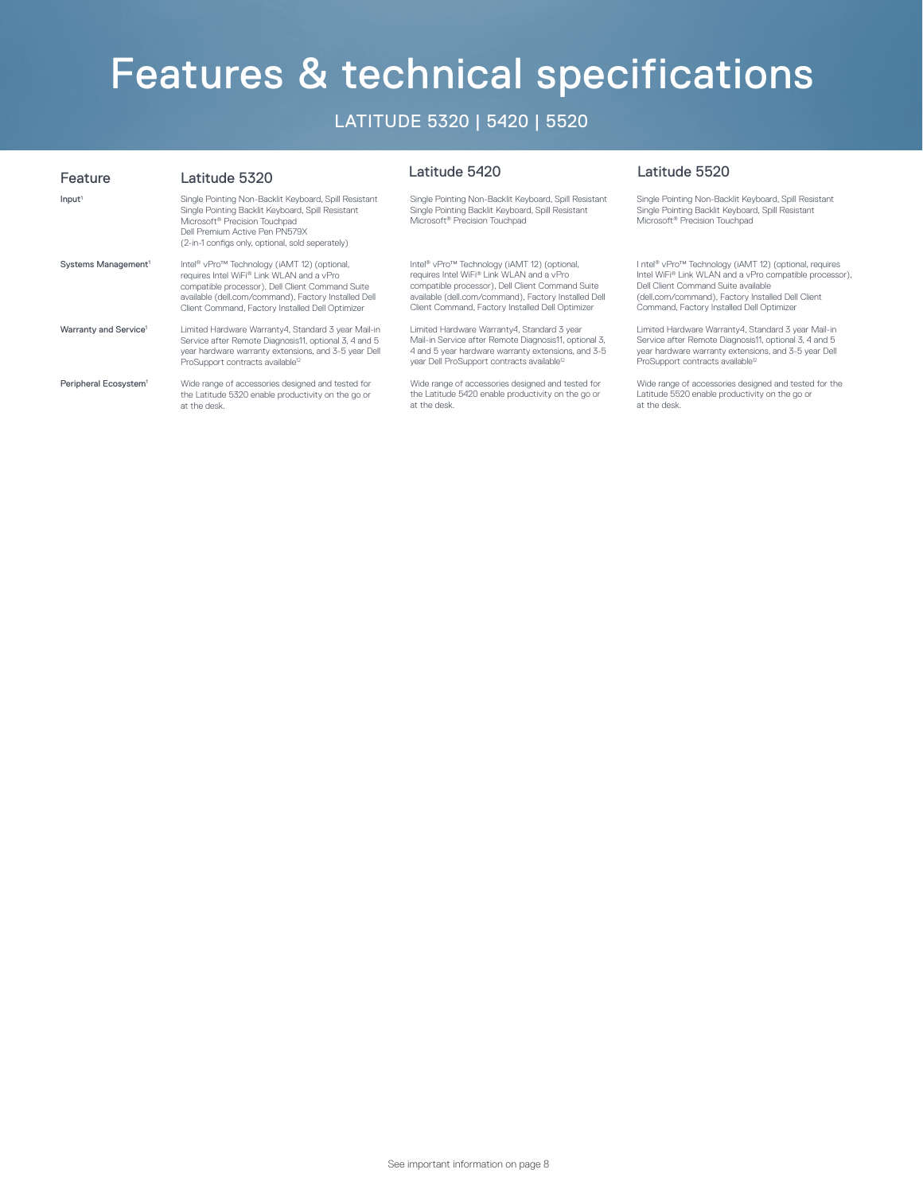# Features & technical specifications

### LATITUDE 5320 | 5420 | 5520

| Feature                           | Latitude 5320                                                                                                                                                                                                                                 | Latitude 5420                                                                                                                                           | Latitude 5520                                                                                                                                           |
|-----------------------------------|-----------------------------------------------------------------------------------------------------------------------------------------------------------------------------------------------------------------------------------------------|---------------------------------------------------------------------------------------------------------------------------------------------------------|---------------------------------------------------------------------------------------------------------------------------------------------------------|
| Input <sup>1</sup>                | Single Pointing Non-Backlit Keyboard, Spill Resistant<br>Single Pointing Backlit Keyboard, Spill Resistant<br>Microsoft <sup>®</sup> Precision Touchpad<br>Dell Premium Active Pen PN579X<br>(2-in-1 configs only, optional, sold seperately) | Single Pointing Non-Backlit Keyboard, Spill Resistant<br>Single Pointing Backlit Keyboard, Spill Resistant<br>Microsoft <sup>®</sup> Precision Touchpad | Single Pointing Non-Backlit Keyboard, Spill Resistant<br>Single Pointing Backlit Keyboard, Spill Resistant<br>Microsoft <sup>®</sup> Precision Touchpad |
| Systems Management <sup>1</sup>   | Intel® vPro™ Technology (iAMT 12) (optional,                                                                                                                                                                                                  | Intel® vPro™ Technology (iAMT 12) (optional,                                                                                                            | I ntel <sup>®</sup> vPro <sup>™</sup> Technology (iAMT 12) (optional, requires                                                                          |
|                                   | requires Intel WiFi® Link WLAN and a vPro                                                                                                                                                                                                     | requires Intel WiFi® Link WLAN and a vPro                                                                                                               | Intel WiFi® Link WLAN and a vPro compatible processor),                                                                                                 |
|                                   | compatible processor), Dell Client Command Suite                                                                                                                                                                                              | compatible processor), Dell Client Command Suite                                                                                                        | Dell Client Command Suite available                                                                                                                     |
|                                   | available (dell.com/command), Factory Installed Dell                                                                                                                                                                                          | available (dell.com/command), Factory Installed Dell                                                                                                    | (dell.com/command), Factory Installed Dell Client                                                                                                       |
|                                   | Client Command, Factory Installed Dell Optimizer                                                                                                                                                                                              | Client Command, Factory Installed Dell Optimizer                                                                                                        | Command, Factory Installed Dell Optimizer                                                                                                               |
| Warranty and Service <sup>1</sup> | Limited Hardware Warranty4, Standard 3 year Mail-in                                                                                                                                                                                           | Limited Hardware Warranty4, Standard 3 year                                                                                                             | Limited Hardware Warranty4, Standard 3 year Mail-in                                                                                                     |
|                                   | Service after Remote Diagnosis11, optional 3, 4 and 5                                                                                                                                                                                         | Mail-in Service after Remote Diagnosis11, optional 3,                                                                                                   | Service after Remote Diagnosis11, optional 3, 4 and 5                                                                                                   |
|                                   | year hardware warranty extensions, and 3-5 year Dell                                                                                                                                                                                          | 4 and 5 year hardware warranty extensions, and 3-5                                                                                                      | year hardware warranty extensions, and 3-5 year Dell                                                                                                    |
|                                   | ProSupport contracts available <sup>12</sup>                                                                                                                                                                                                  | year Dell ProSupport contracts available <sup>12</sup>                                                                                                  | ProSupport contracts available <sup>12</sup>                                                                                                            |
| Peripheral Ecosystem <sup>1</sup> | Wide range of accessories designed and tested for                                                                                                                                                                                             | Wide range of accessories designed and tested for                                                                                                       | Wide range of accessories designed and tested for the                                                                                                   |
|                                   | the Latitude 5320 enable productivity on the go or                                                                                                                                                                                            | the Latitude 5420 enable productivity on the go or                                                                                                      | Latitude 5520 enable productivity on the go or                                                                                                          |
|                                   | at the desk.                                                                                                                                                                                                                                  | at the desk.                                                                                                                                            | at the desk.                                                                                                                                            |